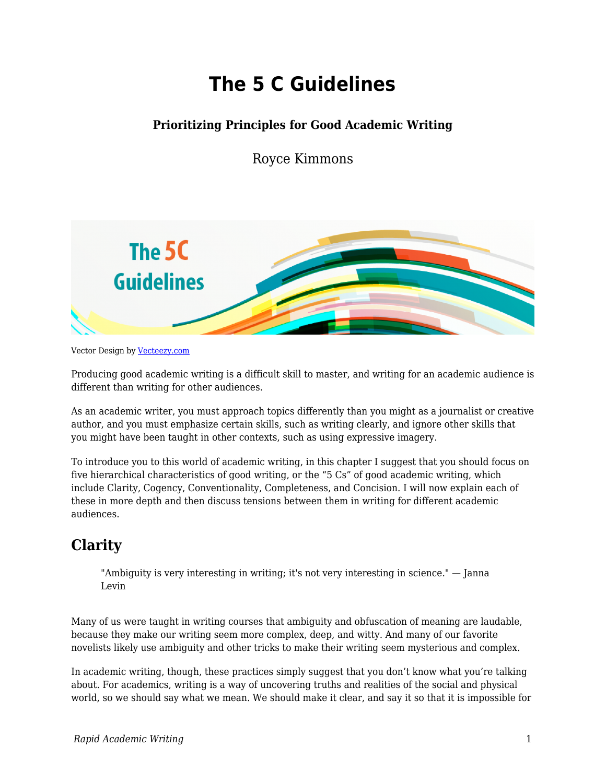# **The 5 C Guidelines**

### **Prioritizing Principles for Good Academic Writing**

Royce Kimmons



Vector Design by [Vecteezy.com](https://www.vecteezy.com)

Producing good academic writing is a difficult skill to master, and writing for an academic audience is different than writing for other audiences.

As an academic writer, you must approach topics differently than you might as a journalist or creative author, and you must emphasize certain skills, such as writing clearly, and ignore other skills that you might have been taught in other contexts, such as using expressive imagery.

To introduce you to this world of academic writing, in this chapter I suggest that you should focus on five hierarchical characteristics of good writing, or the "5 Cs" of good academic writing, which include Clarity, Cogency, Conventionality, Completeness, and Concision. I will now explain each of these in more depth and then discuss tensions between them in writing for different academic audiences.

# **Clarity**

"Ambiguity is very interesting in writing; it's not very interesting in science." — Janna Levin

Many of us were taught in writing courses that ambiguity and obfuscation of meaning are laudable, because they make our writing seem more complex, deep, and witty. And many of our favorite novelists likely use ambiguity and other tricks to make their writing seem mysterious and complex.

In academic writing, though, these practices simply suggest that you don't know what you're talking about. For academics, writing is a way of uncovering truths and realities of the social and physical world, so we should say what we mean. We should make it clear, and say it so that it is impossible for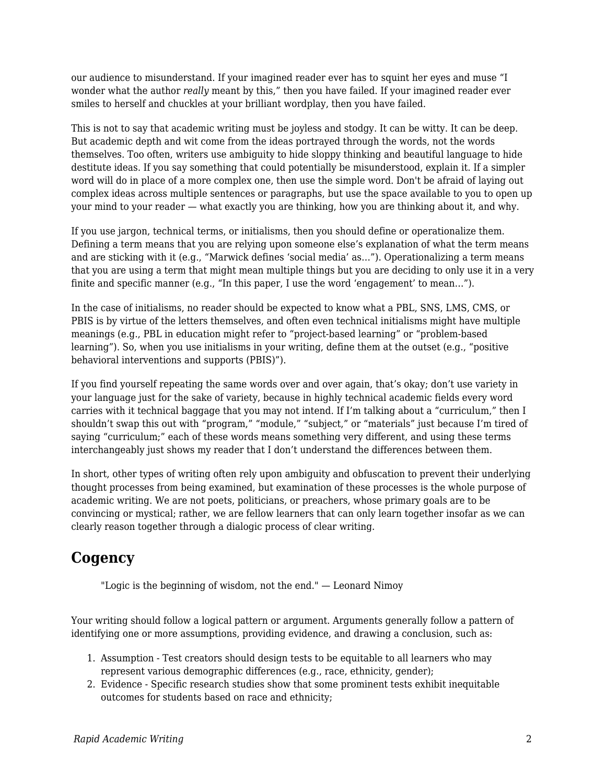our audience to misunderstand. If your imagined reader ever has to squint her eyes and muse "I wonder what the author *really* meant by this," then you have failed. If your imagined reader ever smiles to herself and chuckles at your brilliant wordplay, then you have failed.

This is not to say that academic writing must be joyless and stodgy. It can be witty. It can be deep. But academic depth and wit come from the ideas portrayed through the words, not the words themselves. Too often, writers use ambiguity to hide sloppy thinking and beautiful language to hide destitute ideas. If you say something that could potentially be misunderstood, explain it. If a simpler word will do in place of a more complex one, then use the simple word. Don't be afraid of laying out complex ideas across multiple sentences or paragraphs, but use the space available to you to open up your mind to your reader — what exactly you are thinking, how you are thinking about it, and why.

If you use jargon, technical terms, or initialisms, then you should define or operationalize them. Defining a term means that you are relying upon someone else's explanation of what the term means and are sticking with it (e.g., "Marwick defines 'social media' as…"). Operationalizing a term means that you are using a term that might mean multiple things but you are deciding to only use it in a very finite and specific manner (e.g., "In this paper, I use the word 'engagement' to mean…").

In the case of initialisms, no reader should be expected to know what a PBL, SNS, LMS, CMS, or PBIS is by virtue of the letters themselves, and often even technical initialisms might have multiple meanings (e.g., PBL in education might refer to "project-based learning" or "problem-based learning"). So, when you use initialisms in your writing, define them at the outset (e.g., "positive behavioral interventions and supports (PBIS)").

If you find yourself repeating the same words over and over again, that's okay; don't use variety in your language just for the sake of variety, because in highly technical academic fields every word carries with it technical baggage that you may not intend. If I'm talking about a "curriculum," then I shouldn't swap this out with "program," "module," "subject," or "materials" just because I'm tired of saying "curriculum;" each of these words means something very different, and using these terms interchangeably just shows my reader that I don't understand the differences between them.

In short, other types of writing often rely upon ambiguity and obfuscation to prevent their underlying thought processes from being examined, but examination of these processes is the whole purpose of academic writing. We are not poets, politicians, or preachers, whose primary goals are to be convincing or mystical; rather, we are fellow learners that can only learn together insofar as we can clearly reason together through a dialogic process of clear writing.

## **Cogency**

"Logic is the beginning of wisdom, not the end." — Leonard Nimoy

Your writing should follow a logical pattern or argument. Arguments generally follow a pattern of identifying one or more assumptions, providing evidence, and drawing a conclusion, such as:

- 1. Assumption Test creators should design tests to be equitable to all learners who may represent various demographic differences (e.g., race, ethnicity, gender);
- 2. Evidence Specific research studies show that some prominent tests exhibit inequitable outcomes for students based on race and ethnicity;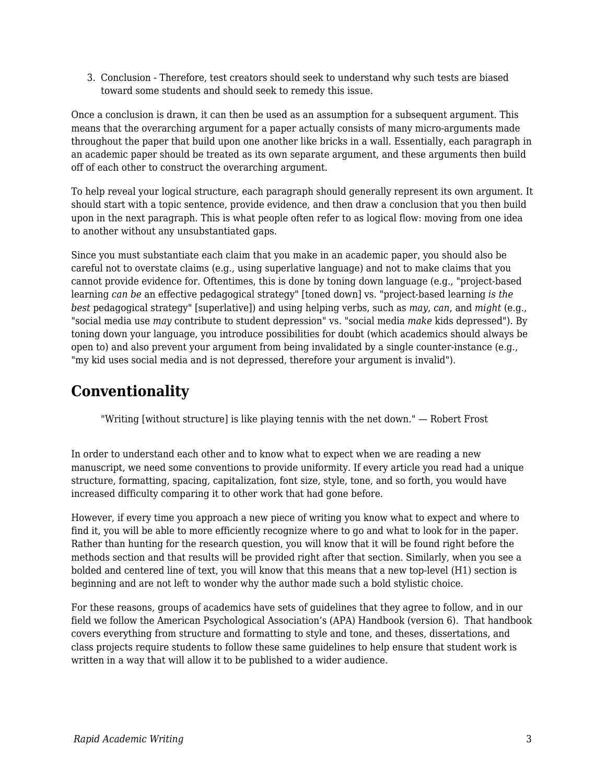3. Conclusion - Therefore, test creators should seek to understand why such tests are biased toward some students and should seek to remedy this issue.

Once a conclusion is drawn, it can then be used as an assumption for a subsequent argument. This means that the overarching argument for a paper actually consists of many micro-arguments made throughout the paper that build upon one another like bricks in a wall. Essentially, each paragraph in an academic paper should be treated as its own separate argument, and these arguments then build off of each other to construct the overarching argument.

To help reveal your logical structure, each paragraph should generally represent its own argument. It should start with a topic sentence, provide evidence, and then draw a conclusion that you then build upon in the next paragraph. This is what people often refer to as logical flow: moving from one idea to another without any unsubstantiated gaps.

Since you must substantiate each claim that you make in an academic paper, you should also be careful not to overstate claims (e.g., using superlative language) and not to make claims that you cannot provide evidence for. Oftentimes, this is done by toning down language (e.g., "project-based learning *can be* an effective pedagogical strategy" [toned down] vs. "project-based learning *is the best* pedagogical strategy" [superlative]) and using helping verbs, such as *may*, *can*, and *might* (e.g., "social media use *may* contribute to student depression" vs. "social media *make* kids depressed"). By toning down your language, you introduce possibilities for doubt (which academics should always be open to) and also prevent your argument from being invalidated by a single counter-instance (e.g., "my kid uses social media and is not depressed, therefore your argument is invalid").

### **Conventionality**

"Writing [without structure] is like playing tennis with the net down." — Robert Frost

In order to understand each other and to know what to expect when we are reading a new manuscript, we need some conventions to provide uniformity. If every article you read had a unique structure, formatting, spacing, capitalization, font size, style, tone, and so forth, you would have increased difficulty comparing it to other work that had gone before.

However, if every time you approach a new piece of writing you know what to expect and where to find it, you will be able to more efficiently recognize where to go and what to look for in the paper. Rather than hunting for the research question, you will know that it will be found right before the methods section and that results will be provided right after that section. Similarly, when you see a bolded and centered line of text, you will know that this means that a new top-level (H1) section is beginning and are not left to wonder why the author made such a bold stylistic choice.

For these reasons, groups of academics have sets of guidelines that they agree to follow, and in our field we follow the American Psychological Association's (APA) Handbook (version 6). That handbook covers everything from structure and formatting to style and tone, and theses, dissertations, and class projects require students to follow these same guidelines to help ensure that student work is written in a way that will allow it to be published to a wider audience.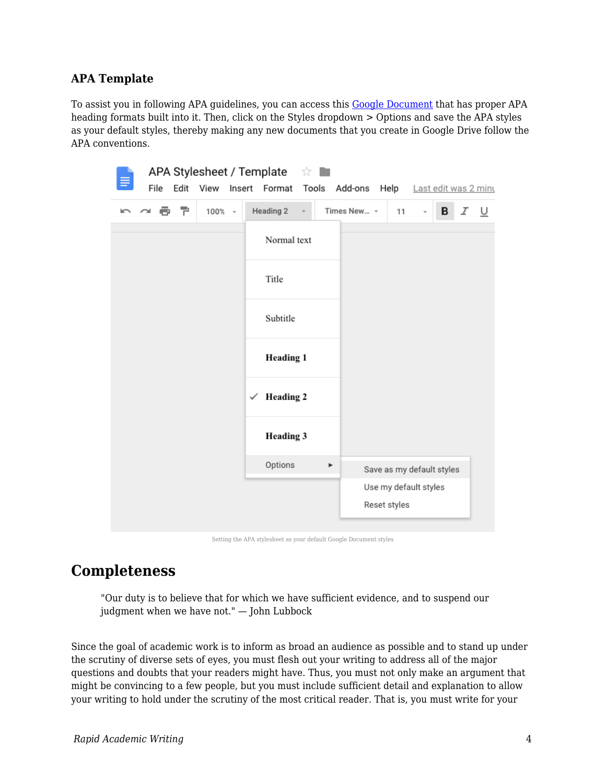#### **APA Template**

To assist you in following APA guidelines, you can access this [Google Document](https://docs.google.com/document/d/15NxRda-xpkfgc0BUGJ-YpYx07Px8QpS0g5x_iHyRuag/edit?usp=sharing) that has proper APA heading formats built into it. Then, click on the Styles dropdown > Options and save the APA styles as your default styles, thereby making any new documents that you create in Google Drive follow the APA conventions.

| File<br>Edit<br>View Insert Format Tools<br>Add-ons Help Last edit was 2 minu<br>いっちゃ<br>Heading 2<br>Times New ~<br>$100% -$<br>в<br>Ι<br>U<br>11<br>Normal text<br>Title<br>Subtitle<br><b>Heading 1</b><br><b>Heading 2</b><br>✓<br><b>Heading 3</b><br>Options<br>$\blacktriangleright$<br>Save as my default styles<br>Use my default styles<br>Reset styles |  |  | APA Stylesheet / Template |  | ☆ |  |  |  |  |
|-------------------------------------------------------------------------------------------------------------------------------------------------------------------------------------------------------------------------------------------------------------------------------------------------------------------------------------------------------------------|--|--|---------------------------|--|---|--|--|--|--|
|                                                                                                                                                                                                                                                                                                                                                                   |  |  |                           |  |   |  |  |  |  |
|                                                                                                                                                                                                                                                                                                                                                                   |  |  |                           |  |   |  |  |  |  |
|                                                                                                                                                                                                                                                                                                                                                                   |  |  |                           |  |   |  |  |  |  |
|                                                                                                                                                                                                                                                                                                                                                                   |  |  |                           |  |   |  |  |  |  |
|                                                                                                                                                                                                                                                                                                                                                                   |  |  |                           |  |   |  |  |  |  |
|                                                                                                                                                                                                                                                                                                                                                                   |  |  |                           |  |   |  |  |  |  |
|                                                                                                                                                                                                                                                                                                                                                                   |  |  |                           |  |   |  |  |  |  |
|                                                                                                                                                                                                                                                                                                                                                                   |  |  |                           |  |   |  |  |  |  |
|                                                                                                                                                                                                                                                                                                                                                                   |  |  |                           |  |   |  |  |  |  |
|                                                                                                                                                                                                                                                                                                                                                                   |  |  |                           |  |   |  |  |  |  |
|                                                                                                                                                                                                                                                                                                                                                                   |  |  |                           |  |   |  |  |  |  |

Setting the APA stylesheet as your default Google Document styles

### **Completeness**

"Our duty is to believe that for which we have sufficient evidence, and to suspend our judgment when we have not." — John Lubbock

Since the goal of academic work is to inform as broad an audience as possible and to stand up under the scrutiny of diverse sets of eyes, you must flesh out your writing to address all of the major questions and doubts that your readers might have. Thus, you must not only make an argument that might be convincing to a few people, but you must include sufficient detail and explanation to allow your writing to hold under the scrutiny of the most critical reader. That is, you must write for your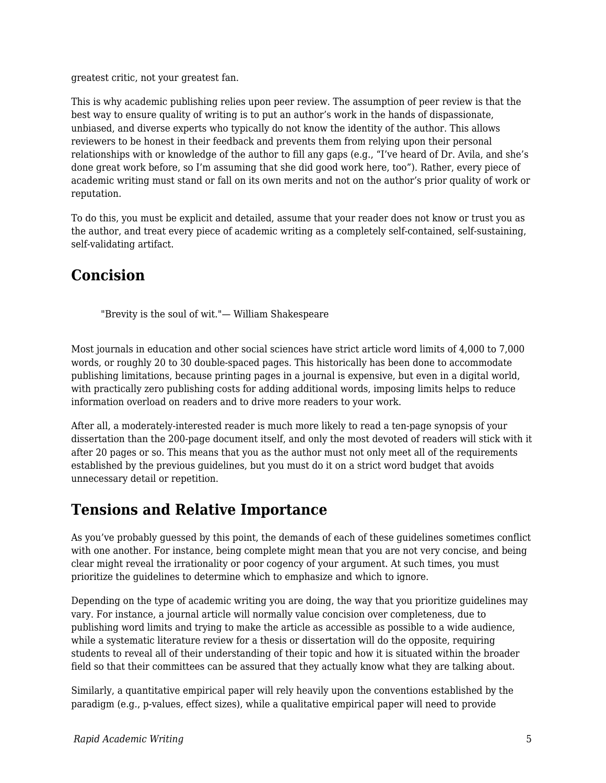greatest critic, not your greatest fan.

This is why academic publishing relies upon peer review. The assumption of peer review is that the best way to ensure quality of writing is to put an author's work in the hands of dispassionate, unbiased, and diverse experts who typically do not know the identity of the author. This allows reviewers to be honest in their feedback and prevents them from relying upon their personal relationships with or knowledge of the author to fill any gaps (e.g., "I've heard of Dr. Avila, and she's done great work before, so I'm assuming that she did good work here, too"). Rather, every piece of academic writing must stand or fall on its own merits and not on the author's prior quality of work or reputation.

To do this, you must be explicit and detailed, assume that your reader does not know or trust you as the author, and treat every piece of academic writing as a completely self-contained, self-sustaining, self-validating artifact.

# **Concision**

"Brevity is the soul of wit."— William Shakespeare

Most journals in education and other social sciences have strict article word limits of 4,000 to 7,000 words, or roughly 20 to 30 double-spaced pages. This historically has been done to accommodate publishing limitations, because printing pages in a journal is expensive, but even in a digital world, with practically zero publishing costs for adding additional words, imposing limits helps to reduce information overload on readers and to drive more readers to your work.

After all, a moderately-interested reader is much more likely to read a ten-page synopsis of your dissertation than the 200-page document itself, and only the most devoted of readers will stick with it after 20 pages or so. This means that you as the author must not only meet all of the requirements established by the previous guidelines, but you must do it on a strict word budget that avoids unnecessary detail or repetition.

### **Tensions and Relative Importance**

As you've probably guessed by this point, the demands of each of these guidelines sometimes conflict with one another. For instance, being complete might mean that you are not very concise, and being clear might reveal the irrationality or poor cogency of your argument. At such times, you must prioritize the guidelines to determine which to emphasize and which to ignore.

Depending on the type of academic writing you are doing, the way that you prioritize guidelines may vary. For instance, a journal article will normally value concision over completeness, due to publishing word limits and trying to make the article as accessible as possible to a wide audience, while a systematic literature review for a thesis or dissertation will do the opposite, requiring students to reveal all of their understanding of their topic and how it is situated within the broader field so that their committees can be assured that they actually know what they are talking about.

Similarly, a quantitative empirical paper will rely heavily upon the conventions established by the paradigm (e.g., p-values, effect sizes), while a qualitative empirical paper will need to provide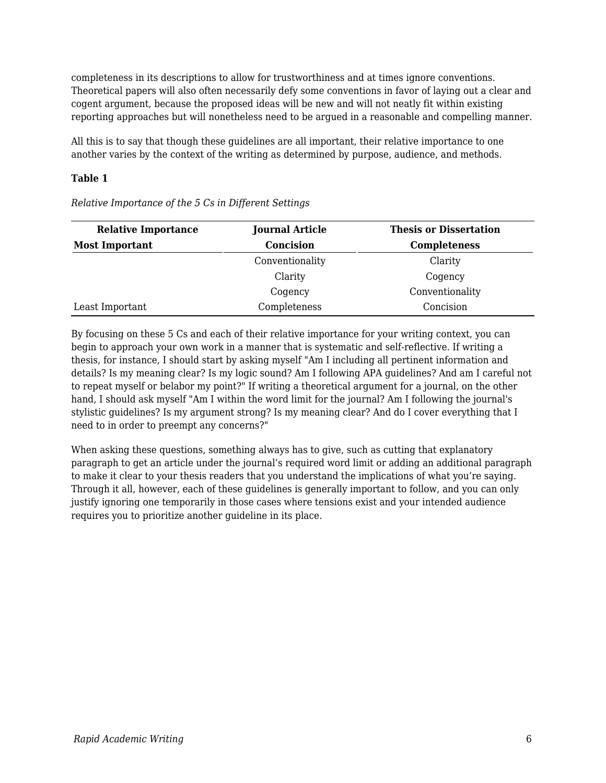completeness in its descriptions to allow for trustworthiness and at times ignore conventions. Theoretical papers will also often necessarily defy some conventions in favor of laying out a clear and cogent argument, because the proposed ideas will be new and will not neatly fit within existing reporting approaches but will nonetheless need to be argued in a reasonable and compelling manner.

All this is to say that though these guidelines are all important, their relative importance to one another varies by the context of the writing as determined by purpose, audience, and methods.

#### **Table 1**

| <b>Relative Importance</b> | <b>Journal Article</b> | <b>Thesis or Dissertation</b> |  |  |  |  |
|----------------------------|------------------------|-------------------------------|--|--|--|--|
| <b>Most Important</b>      | <b>Concision</b>       | <b>Completeness</b>           |  |  |  |  |
|                            | Conventionality        | Clarity                       |  |  |  |  |
|                            | Clarity                | Cogency                       |  |  |  |  |
|                            | Cogency                | Conventionality               |  |  |  |  |
| Least Important            | Completeness           | Concision                     |  |  |  |  |

*Relative Importance of the 5 Cs in Different Settings*

By focusing on these 5 Cs and each of their relative importance for your writing context, you can begin to approach your own work in a manner that is systematic and self-reflective. If writing a thesis, for instance, I should start by asking myself "Am I including all pertinent information and details? Is my meaning clear? Is my logic sound? Am I following APA guidelines? And am I careful not to repeat myself or belabor my point?" If writing a theoretical argument for a journal, on the other hand, I should ask myself "Am I within the word limit for the journal? Am I following the journal's stylistic guidelines? Is my argument strong? Is my meaning clear? And do I cover everything that I need to in order to preempt any concerns?"

When asking these questions, something always has to give, such as cutting that explanatory paragraph to get an article under the journal's required word limit or adding an additional paragraph to make it clear to your thesis readers that you understand the implications of what you're saying. Through it all, however, each of these guidelines is generally important to follow, and you can only justify ignoring one temporarily in those cases where tensions exist and your intended audience requires you to prioritize another guideline in its place.